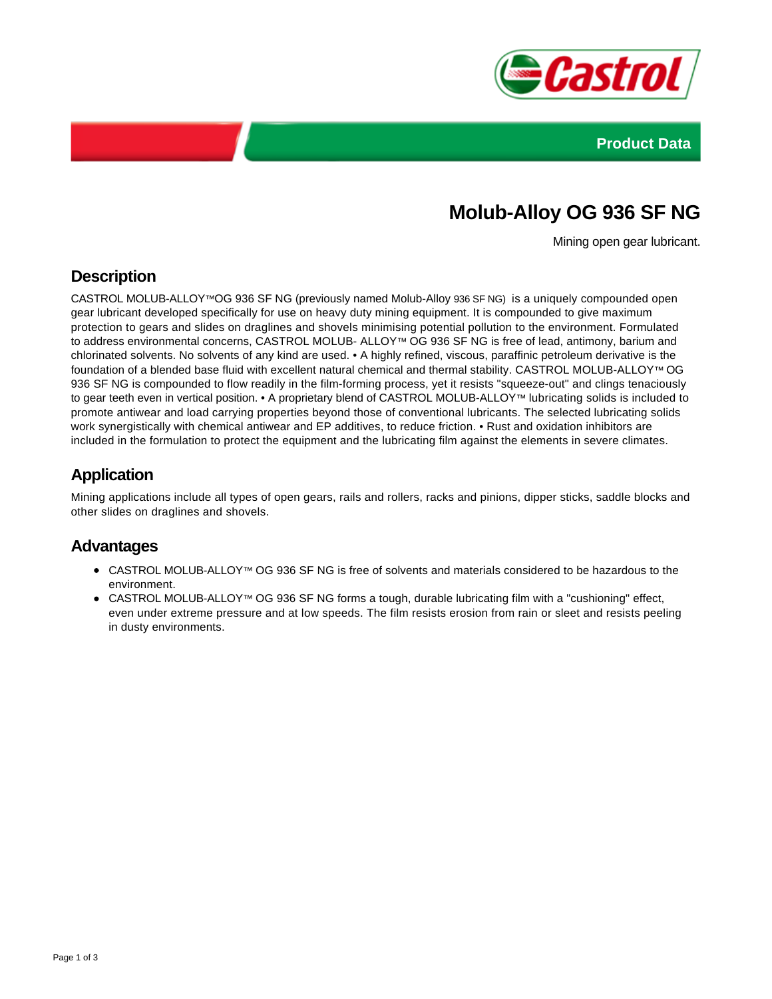



# **Molub-Alloy OG 936 SF NG**

Mining open gear lubricant.

## **Description**

CASTROL MOLUB-ALLOY™OG 936 SF NG (previously named Molub-Alloy 936 SF NG) is a uniquely compounded open gear lubricant developed specifically for use on heavy duty mining equipment. It is compounded to give maximum protection to gears and slides on draglines and shovels minimising potential pollution to the environment. Formulated to address environmental concerns, CASTROL MOLUB- ALLOY™ OG 936 SF NG is free of lead, antimony, barium and chlorinated solvents. No solvents of any kind are used. • A highly refined, viscous, paraffinic petroleum derivative is the foundation of a blended base fluid with excellent natural chemical and thermal stability. CASTROL MOLUB-ALLOY™ OG 936 SF NG is compounded to flow readily in the film-forming process, yet it resists "squeeze-out" and clings tenaciously to gear teeth even in vertical position. • A proprietary blend of CASTROL MOLUB-ALLOY™ lubricating solids is included to promote antiwear and load carrying properties beyond those of conventional lubricants. The selected lubricating solids work synergistically with chemical antiwear and EP additives, to reduce friction. • Rust and oxidation inhibitors are included in the formulation to protect the equipment and the lubricating film against the elements in severe climates.

## **Application**

Mining applications include all types of open gears, rails and rollers, racks and pinions, dipper sticks, saddle blocks and other slides on draglines and shovels.

### **Advantages**

- CASTROL MOLUB-ALLOY™ OG 936 SF NG is free of solvents and materials considered to be hazardous to the environment.
- CASTROL MOLUB-ALLOY™ OG 936 SF NG forms a tough, durable lubricating film with a "cushioning" effect, even under extreme pressure and at low speeds. The film resists erosion from rain or sleet and resists peeling in dusty environments.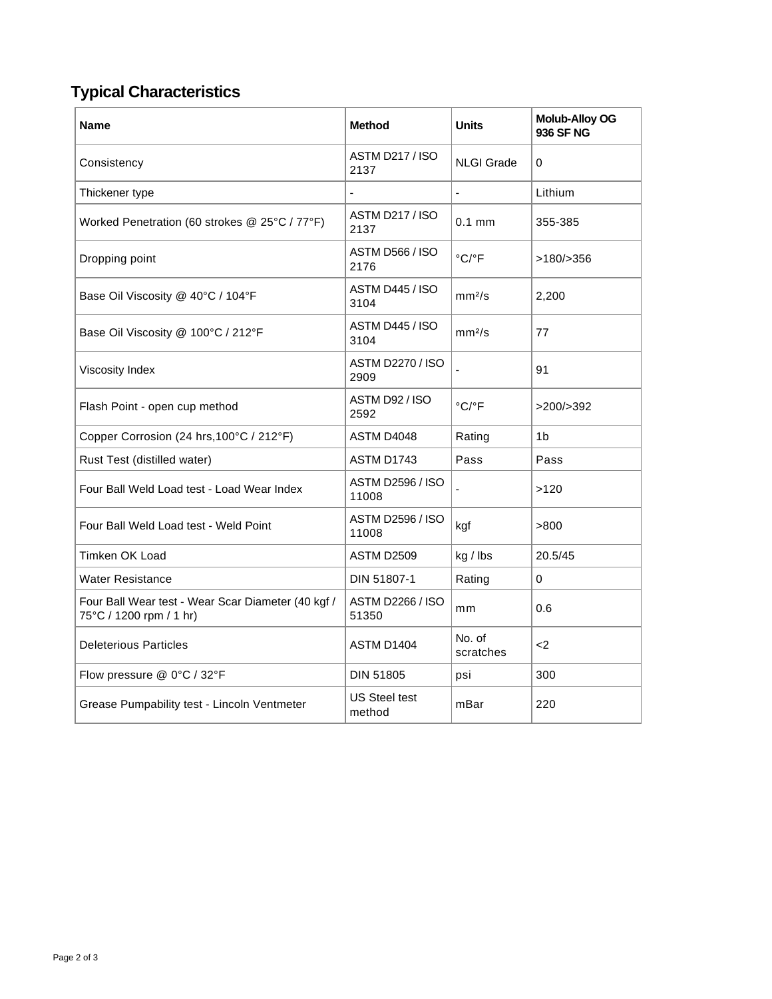# **Typical Characteristics**

| <b>Name</b>                                                                   | <b>Method</b>                    | <b>Units</b>               | <b>Molub-Alloy OG</b><br><b>936 SF NG</b> |
|-------------------------------------------------------------------------------|----------------------------------|----------------------------|-------------------------------------------|
| Consistency                                                                   | <b>ASTM D217 / ISO</b><br>2137   | <b>NLGI Grade</b>          | $\Omega$                                  |
| Thickener type                                                                |                                  |                            | Lithium                                   |
| Worked Penetration (60 strokes @ 25°C / 77°F)                                 | <b>ASTM D217 / ISO</b><br>2137   | $0.1$ mm                   | 355-385                                   |
| Dropping point                                                                | <b>ASTM D566 / ISO</b><br>2176   | °C/°F                      | >180/>356                                 |
| Base Oil Viscosity @ 40°C / 104°F                                             | ASTM D445 / ISO<br>3104          | mm <sup>2</sup> /s         | 2,200                                     |
| Base Oil Viscosity @ 100°C / 212°F                                            | ASTM D445 / ISO<br>3104          | mm <sup>2</sup> /s         | 77                                        |
| Viscosity Index                                                               | <b>ASTM D2270 / ISO</b><br>2909  |                            | 91                                        |
| Flash Point - open cup method                                                 | ASTM D92 / ISO<br>2592           | $^{\circ}$ C/ $^{\circ}$ F | >200/>392                                 |
| Copper Corrosion (24 hrs, 100°C / 212°F)                                      | ASTM D4048                       | Rating                     | 1 <sub>b</sub>                            |
| Rust Test (distilled water)                                                   | ASTM D1743                       | Pass                       | Pass                                      |
| Four Ball Weld Load test - Load Wear Index                                    | <b>ASTM D2596 / ISO</b><br>11008 |                            | >120                                      |
| Four Ball Weld Load test - Weld Point                                         | <b>ASTM D2596 / ISO</b><br>11008 | kgf                        | >800                                      |
| Timken OK Load                                                                | ASTM D2509                       | kg / lbs                   | 20.5/45                                   |
| <b>Water Resistance</b>                                                       | DIN 51807-1                      | Rating                     | 0                                         |
| Four Ball Wear test - Wear Scar Diameter (40 kgf /<br>75°C / 1200 rpm / 1 hr) | <b>ASTM D2266 / ISO</b><br>51350 | mm                         | 0.6                                       |
| <b>Deleterious Particles</b>                                                  | ASTM D1404                       | No. of<br>scratches        | $2$                                       |
| Flow pressure @ 0°C / 32°F                                                    | <b>DIN 51805</b>                 | psi                        | 300                                       |
| Grease Pumpability test - Lincoln Ventmeter                                   | US Steel test<br>method          | mBar                       | 220                                       |